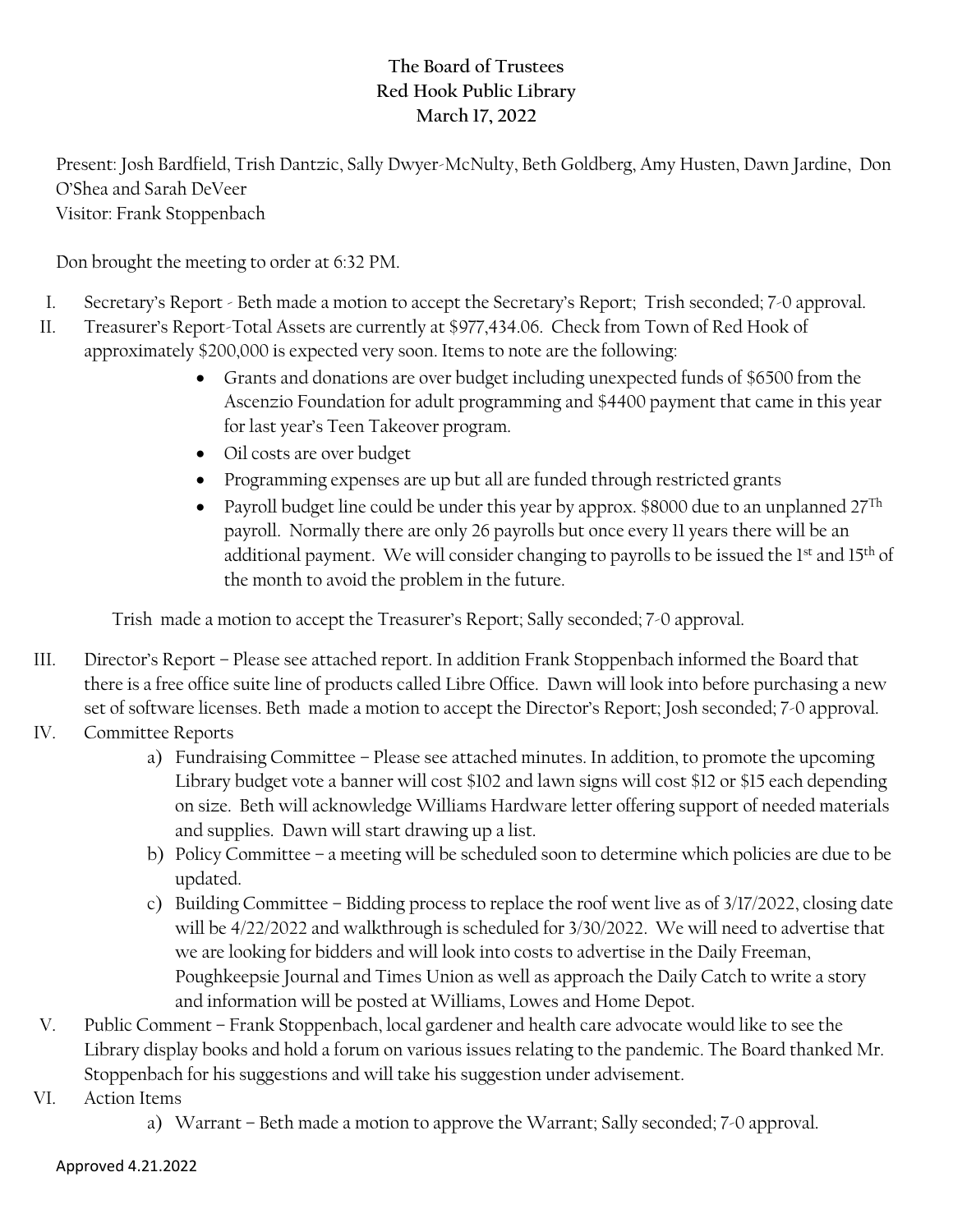## **The Board of Trustees Red Hook Public Library March 17, 2022**

Present: Josh Bardfield, Trish Dantzic, Sally Dwyer-McNulty, Beth Goldberg, Amy Husten, Dawn Jardine, Don O'Shea and Sarah DeVeer Visitor: Frank Stoppenbach

Don brought the meeting to order at 6:32 PM.

- I. Secretary's Report Beth made a motion to accept the Secretary's Report; Trish seconded; 7-0 approval.
- II. Treasurer's Report-Total Assets are currently at \$977,434.06. Check from Town of Red Hook of approximately \$200,000 is expected very soon. Items to note are the following:
	- Grants and donations are over budget including unexpected funds of \$6500 from the Ascenzio Foundation for adult programming and \$4400 payment that came in this year for last year's Teen Takeover program.
	- Oil costs are over budget
	- Programming expenses are up but all are funded through restricted grants
	- Payroll budget line could be under this year by approx. \$8000 due to an unplanned  $27^{\text{Th}}$ payroll. Normally there are only 26 payrolls but once every 11 years there will be an additional payment. We will consider changing to payrolls to be issued the 1<sup>st</sup> and 15<sup>th</sup> of the month to avoid the problem in the future.

Trish made a motion to accept the Treasurer's Report; Sally seconded; 7-0 approval.

- III. Director's Report Please see attached report. In addition Frank Stoppenbach informed the Board that there is a free office suite line of products called Libre Office. Dawn will look into before purchasing a new set of software licenses. Beth made a motion to accept the Director's Report; Josh seconded; 7-0 approval.
- IV. Committee Reports
	- a) Fundraising Committee Please see attached minutes. In addition, to promote the upcoming Library budget vote a banner will cost \$102 and lawn signs will cost \$12 or \$15 each depending on size. Beth will acknowledge Williams Hardware letter offering support of needed materials and supplies. Dawn will start drawing up a list.
	- b) Policy Committee a meeting will be scheduled soon to determine which policies are due to be updated.
	- c) Building Committee Bidding process to replace the roof went live as of 3/17/2022, closing date will be 4/22/2022 and walkthrough is scheduled for 3/30/2022. We will need to advertise that we are looking for bidders and will look into costs to advertise in the Daily Freeman, Poughkeepsie Journal and Times Union as well as approach the Daily Catch to write a story and information will be posted at Williams, Lowes and Home Depot.
- V. Public Comment Frank Stoppenbach, local gardener and health care advocate would like to see the Library display books and hold a forum on various issues relating to the pandemic. The Board thanked Mr. Stoppenbach for his suggestions and will take his suggestion under advisement.
- VI. Action Items
	- a) Warrant Beth made a motion to approve the Warrant; Sally seconded; 7-0 approval.